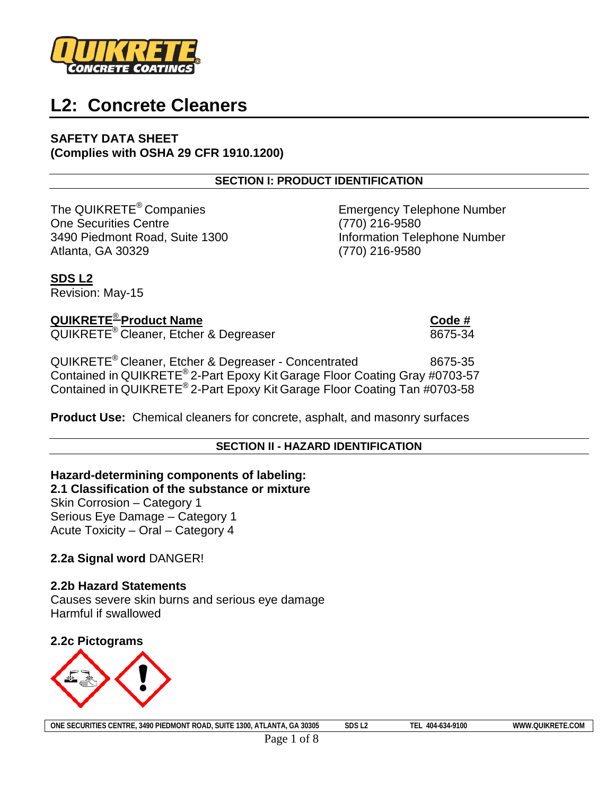

# **L2: Concrete Cleaners**

**SAFETY DATA SHEET (Complies with OSHA 29 CFR 1910.1200)**

**SECTION I: PRODUCT IDENTIFICATION**

The QUIKRETE<sup>®</sup> Companies **Emergency Telephone Number** One Securities Centre (770) 216-9580 3490 Piedmont Road, Suite 1300 Information Telephone Number Atlanta, GA 30329 (770) 216-9580

**SDS L2** Revision: May-15

**QUIKRETE**® **Product Name Code #** QUIKRETE<sup>®</sup> Cleaner, Etcher & Degreaser

QUIKRETE<sup>®</sup> Cleaner, Etcher & Degreaser - Concentrated 8675-35 Contained in QUIKRETE® 2-Part Epoxy Kit Garage Floor Coating Gray #0703-57 Contained in QUIKRETE® 2-Part Epoxy Kit Garage Floor Coating Tan #0703-58

**Product Use:** Chemical cleaners for concrete, asphalt, and masonry surfaces

# **SECTION II - HAZARD IDENTIFICATION**

# **Hazard-determining components of labeling: 2.1 Classification of the substance or mixture** Skin Corrosion – Category 1

Serious Eye Damage – Category 1 Acute Toxicity – Oral – Category 4

# **2.2a Signal word** DANGER!

# **2.2b Hazard Statements**

Causes severe skin burns and serious eye damage Harmful if swallowed

**2.2c Pictograms**

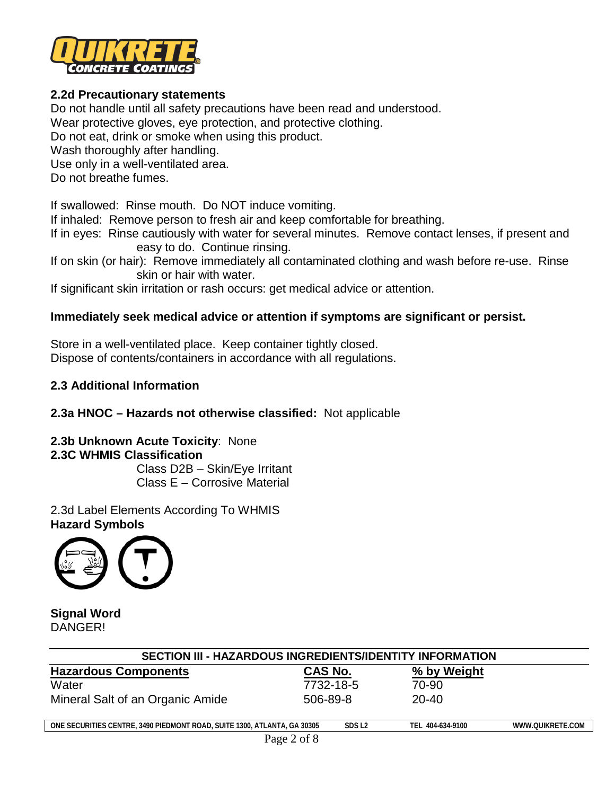

# **2.2d Precautionary statements**

Do not handle until all safety precautions have been read and understood.

Wear protective gloves, eye protection, and protective clothing.

Do not eat, drink or smoke when using this product.

Wash thoroughly after handling.

Use only in a well-ventilated area.

Do not breathe fumes.

If swallowed: Rinse mouth. Do NOT induce vomiting.

If inhaled: Remove person to fresh air and keep comfortable for breathing.

If in eyes: Rinse cautiously with water for several minutes. Remove contact lenses, if present and easy to do. Continue rinsing.

If on skin (or hair): Remove immediately all contaminated clothing and wash before re-use. Rinse skin or hair with water.

If significant skin irritation or rash occurs: get medical advice or attention.

# **Immediately seek medical advice or attention if symptoms are significant or persist.**

Store in a well-ventilated place. Keep container tightly closed. Dispose of contents/containers in accordance with all regulations.

# **2.3 Additional Information**

# **2.3a HNOC – Hazards not otherwise classified:** Not applicable

**2.3b Unknown Acute Toxicity**: None **2.3C WHMIS Classification**

Class D2B – Skin/Eye Irritant Class E – Corrosive Material

2.3d Label Elements According To WHMIS **Hazard Symbols**



**Signal Word** DANGER!

| <b>SECTION III - HAZARDOUS INGREDIENTS/IDENTITY INFORMATION</b>          |                   |                  |                  |  |  |
|--------------------------------------------------------------------------|-------------------|------------------|------------------|--|--|
| <b>Hazardous Components</b>                                              | CAS No.           | % by Weight      |                  |  |  |
| Water                                                                    | 7732-18-5         | 70-90            |                  |  |  |
| Mineral Salt of an Organic Amide                                         | 506-89-8          | $20 - 40$        |                  |  |  |
| ONE SECURITIES CENTRE, 3490 PIEDMONT ROAD, SUITE 1300, ATLANTA, GA 30305 | SDS <sub>L2</sub> | TEL 404-634-9100 | WWW.OUIKRETE.COM |  |  |
| Page 2 of 8                                                              |                   |                  |                  |  |  |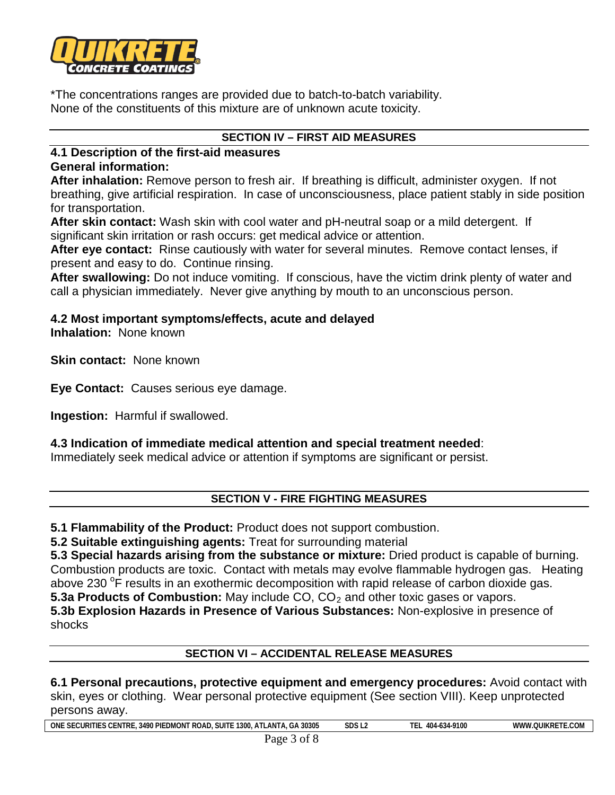

\*The concentrations ranges are provided due to batch-to-batch variability. None of the constituents of this mixture are of unknown acute toxicity.

# **SECTION IV – FIRST AID MEASURES**

#### **4.1 Description of the first-aid measures General information:**

**After inhalation:** Remove person to fresh air. If breathing is difficult, administer oxygen. If not breathing, give artificial respiration. In case of unconsciousness, place patient stably in side position for transportation.

**After skin contact:** Wash skin with cool water and pH-neutral soap or a mild detergent. If significant skin irritation or rash occurs: get medical advice or attention.

**After eye contact:** Rinse cautiously with water for several minutes. Remove contact lenses, if present and easy to do. Continue rinsing.

**After swallowing:** Do not induce vomiting. If conscious, have the victim drink plenty of water and call a physician immediately. Never give anything by mouth to an unconscious person.

# **4.2 Most important symptoms/effects, acute and delayed**

**Inhalation:** None known

**Skin contact:** None known

**Eye Contact:** Causes serious eye damage.

**Ingestion:** Harmful if swallowed.

# **4.3 Indication of immediate medical attention and special treatment needed**:

Immediately seek medical advice or attention if symptoms are significant or persist.

#### **SECTION V - FIRE FIGHTING MEASURES**

**5.1 Flammability of the Product:** Product does not support combustion.

**5.2 Suitable extinguishing agents:** Treat for surrounding material

**5.3 Special hazards arising from the substance or mixture:** Dried product is capable of burning. Combustion products are toxic. Contact with metals may evolve flammable hydrogen gas. Heating above 230 <sup>o</sup>F results in an exothermic decomposition with rapid release of carbon dioxide gas.

**5.3a Products of Combustion:** May include CO, CO<sub>2</sub> and other toxic gases or vapors.

**5.3b Explosion Hazards in Presence of Various Substances:** Non-explosive in presence of shocks

# **SECTION VI – ACCIDENTAL RELEASE MEASURES**

**6.1 Personal precautions, protective equipment and emergency procedures:** Avoid contact with skin, eyes or clothing.Wear personal protective equipment (See section VIII). Keep unprotected persons away.

| 30305<br>-----<br><b>ON</b><br><b>CURE</b><br>$\Lambda$ <sub>NI</sub><br>----<br>$\overline{\phantom{a}}$<br>3490 PIF<br>$-$<br>$\overline{\phantom{a}}$<br>Sup<br>EDMON<br>tre<br>ROAL<br>. 2UL<br>'IES<br>∪°⊾ت<br>$\mathbf{u}$<br>$. \mathsf{L} \mathsf{P}$<br>эŀ<br>LAIV | SDS L2 | 404-634-9100<br>. . | $\sim$<br>.<br>uikr'<br><b>NWW</b><br>- 18<br>$\sim$ |
|-----------------------------------------------------------------------------------------------------------------------------------------------------------------------------------------------------------------------------------------------------------------------------|--------|---------------------|------------------------------------------------------|
|-----------------------------------------------------------------------------------------------------------------------------------------------------------------------------------------------------------------------------------------------------------------------------|--------|---------------------|------------------------------------------------------|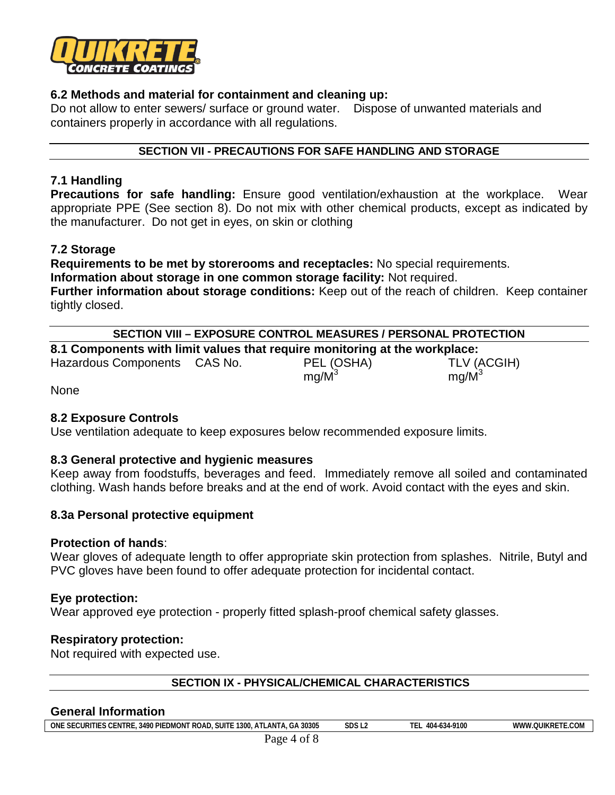

# **6.2 Methods and material for containment and cleaning up:**

Do not allow to enter sewers/ surface or ground water. Dispose of unwanted materials and containers properly in accordance with all regulations.

#### **SECTION VII - PRECAUTIONS FOR SAFE HANDLING AND STORAGE**

#### **7.1 Handling**

**Precautions for safe handling:** Ensure good ventilation/exhaustion at the workplace. Wear appropriate PPE (See section 8). Do not mix with other chemical products, except as indicated by the manufacturer. Do not get in eyes, on skin or clothing

#### **7.2 Storage**

**Requirements to be met by storerooms and receptacles:** No special requirements. **Information about storage in one common storage facility:** Not required. **Further information about storage conditions:** Keep out of the reach of children. Keep container

tightly closed.

**8.1 Components with limit values that require monitoring at the workplace:**

Hazardous Components CAS No. PEL (OSHA) TLV (ACGIH)<br>mg/M<sup>3</sup> mg/M<sup>3</sup>

 $mq/M^3$ 

None

# **8.2 Exposure Controls**

Use ventilation adequate to keep exposures below recommended exposure limits.

#### **8.3 General protective and hygienic measures**

Keep away from foodstuffs, beverages and feed. Immediately remove all soiled and contaminated clothing. Wash hands before breaks and at the end of work. Avoid contact with the eyes and skin.

#### **8.3a Personal protective equipment**

#### **Protection of hands**:

Wear gloves of adequate length to offer appropriate skin protection from splashes. Nitrile, Butyl and PVC gloves have been found to offer adequate protection for incidental contact.

#### **Eye protection:**

Wear approved eye protection - properly fitted splash-proof chemical safety glasses.

#### **Respiratory protection:**

Not required with expected use.

# **SECTION IX - PHYSICAL/CHEMICAL CHARACTERISTICS**

#### **General Information**

**ONE SECURITIES CENTRE, 3490 PIEDMONT ROAD, SUITE 1300, ATLANTA, GA 30305 SDS L2 TEL 404-634-9100 WWW.QUIKRETE.COM**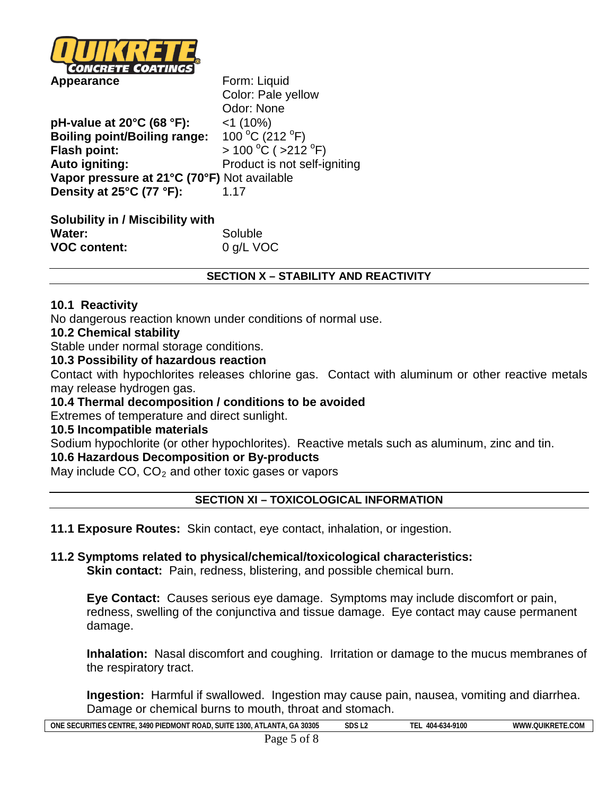

Color: Pale yellow Odor: None **pH-value at 20°C (68 °F):** <1 (10%) **Boiling point/Boiling range:** C (212  $\degree$ F) **Flash point:**  $C( >212 °F)$ **Auto igniting:** Product is not self-igniting **Vapor pressure at 21°C (70°F)** Not available **Density at 25°C (77 °F):** 1.17

| <b>Solubility in / Miscibility with</b> |           |
|-----------------------------------------|-----------|
| Water:                                  | Soluble   |
| <b>VOC content:</b>                     | 0 g/L VOC |

# **SECTION X – STABILITY AND REACTIVITY**

#### **10.1 Reactivity**

No dangerous reaction known under conditions of normal use.

#### **10.2 Chemical stability**

Stable under normal storage conditions.

# **10.3 Possibility of hazardous reaction**

Contact with hypochlorites releases chlorine gas. Contact with aluminum or other reactive metals may release hydrogen gas.

#### **10.4 Thermal decomposition / conditions to be avoided**

Extremes of temperature and direct sunlight.

#### **10.5 Incompatible materials**

Sodium hypochlorite (or other hypochlorites). Reactive metals such as aluminum, zinc and tin.

# **10.6 Hazardous Decomposition or By-products**

May include  $CO$ ,  $CO<sub>2</sub>$  and other toxic gases or vapors

# **SECTION XI – TOXICOLOGICAL INFORMATION**

**11.1 Exposure Routes:** Skin contact, eye contact, inhalation, or ingestion.

# **11.2 Symptoms related to physical/chemical/toxicological characteristics:**

**Skin contact:** Pain, redness, blistering, and possible chemical burn.

**Eye Contact:** Causes serious eye damage. Symptoms may include discomfort or pain, redness, swelling of the conjunctiva and tissue damage. Eye contact may cause permanent damage.

**Inhalation:** Nasal discomfort and coughing. Irritation or damage to the mucus membranes of the respiratory tract.

**Ingestion:** Harmful if swallowed. Ingestion may cause pain, nausea, vomiting and diarrhea. Damage or chemical burns to mouth, throat and stomach.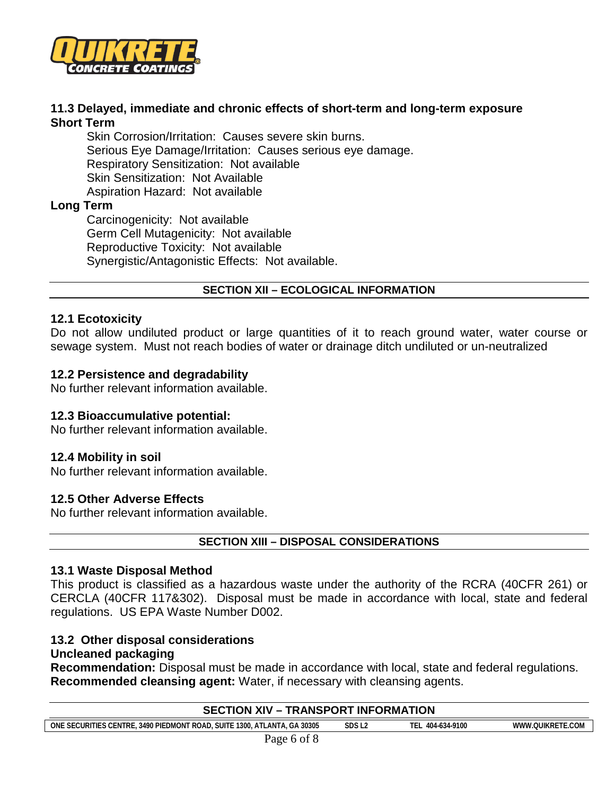

#### **11.3 Delayed, immediate and chronic effects of short-term and long-term exposure Short Term**

Skin Corrosion/Irritation: Causes severe skin burns. Serious Eye Damage/Irritation: Causes serious eye damage. Respiratory Sensitization: Not available Skin Sensitization: Not Available Aspiration Hazard: Not available

# **Long Term**

Carcinogenicity: Not available Germ Cell Mutagenicity: Not available Reproductive Toxicity: Not available Synergistic/Antagonistic Effects: Not available.

# **SECTION XII – ECOLOGICAL INFORMATION**

# **12.1 Ecotoxicity**

Do not allow undiluted product or large quantities of it to reach ground water, water course or sewage system. Must not reach bodies of water or drainage ditch undiluted or un-neutralized

# **12.2 Persistence and degradability**

No further relevant information available.

#### **12.3 Bioaccumulative potential:**

No further relevant information available.

#### **12.4 Mobility in soil**

No further relevant information available.

#### **12.5 Other Adverse Effects**

No further relevant information available.

#### **SECTION XIII – DISPOSAL CONSIDERATIONS**

#### **13.1 Waste Disposal Method**

This product is classified as a hazardous waste under the authority of the RCRA (40CFR 261) or CERCLA (40CFR 117&302). Disposal must be made in accordance with local, state and federal regulations. US EPA Waste Number D002.

#### **13.2 Other disposal considerations Uncleaned packaging**

**Recommendation:** Disposal must be made in accordance with local, state and federal regulations. **Recommended cleansing agent:** Water, if necessary with cleansing agents.

| <b>SECTION XIV - TRANSPORT INFORMATION</b>                               |                   |                  |                  |  |  |
|--------------------------------------------------------------------------|-------------------|------------------|------------------|--|--|
| ONE SECURITIES CENTRE, 3490 PIEDMONT ROAD, SUITE 1300, ATLANTA, GA 30305 | SDS <sub>L2</sub> | TEL 404-634-9100 | WWW.OUIKRETE.COM |  |  |
| Page 6 of 8                                                              |                   |                  |                  |  |  |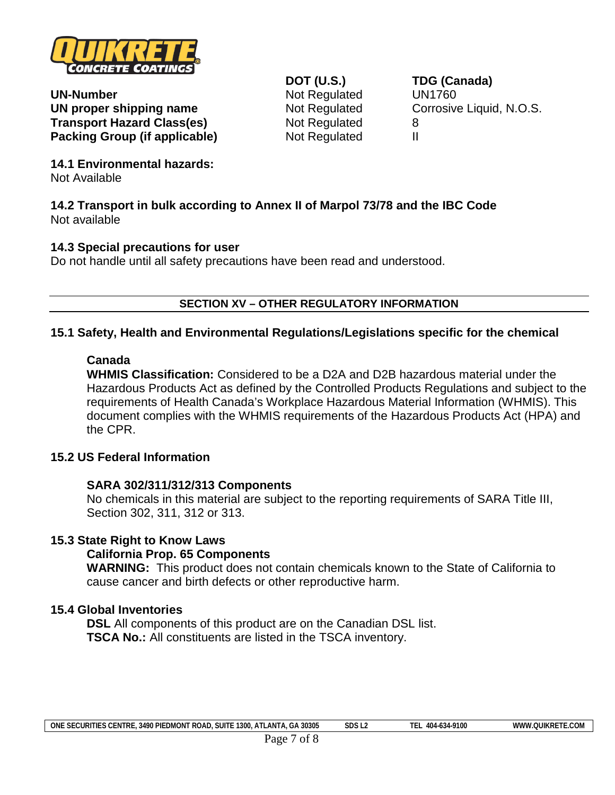

**UN-Number** Not Regulated UN1760 **UN proper shipping name** Not Regulated Corrosive Liquid, N.O.S. **Transport Hazard Class(es)** Not Regulated 8 **Packing Group (if applicable)** Not Regulated II

**DOT (U.S.) TDG (Canada)**

**14.1 Environmental hazards:** Not Available

**14.2 Transport in bulk according to Annex II of Marpol 73/78 and the IBC Code** Not available

#### **14.3 Special precautions for user**

Do not handle until all safety precautions have been read and understood.

# **SECTION XV – OTHER REGULATORY INFORMATION**

# **15.1 Safety, Health and Environmental Regulations/Legislations specific for the chemical**

# **Canada**

**WHMIS Classification:** Considered to be a D2A and D2B hazardous material under the Hazardous Products Act as defined by the Controlled Products Regulations and subject to the requirements of Health Canada's Workplace Hazardous Material Information (WHMIS). This document complies with the WHMIS requirements of the Hazardous Products Act (HPA) and the CPR.

# **15.2 US Federal Information**

#### **SARA 302/311/312/313 Components**

No chemicals in this material are subject to the reporting requirements of SARA Title III, Section 302, 311, 312 or 313.

#### **15.3 State Right to Know Laws**

#### **California Prop. 65 Components**

**WARNING:** This product does not contain chemicals known to the State of California to cause cancer and birth defects or other reproductive harm.

#### **15.4 Global Inventories**

**DSL** All components of this product are on the Canadian DSL list. **TSCA No.:** All constituents are listed in the TSCA inventory.